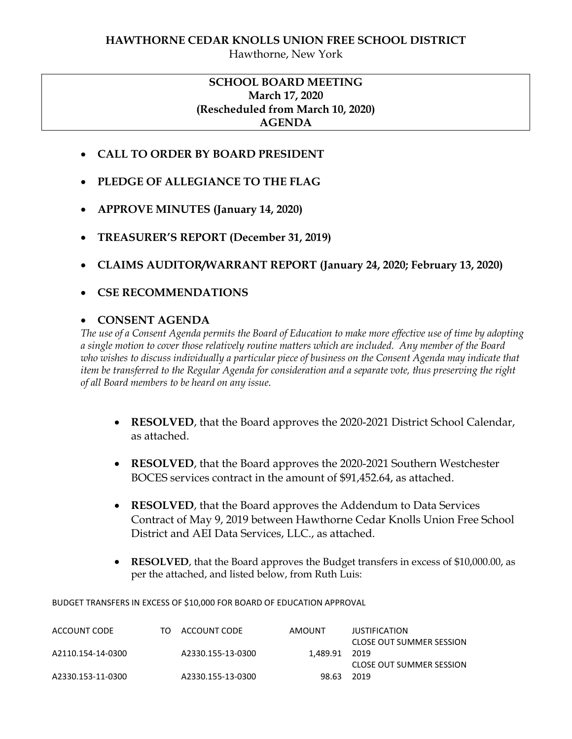## **SCHOOL BOARD MEETING March 17, 2020 (Rescheduled from March 10, 2020) AGENDA**

- **CALL TO ORDER BY BOARD PRESIDENT**
- **PLEDGE OF ALLEGIANCE TO THE FLAG**
- **APPROVE MINUTES (January 14, 2020)**
- **TREASURER'S REPORT (December 31, 2019)**
- **CLAIMS AUDITOR/WARRANT REPORT (January 24, 2020; February 13, 2020)**
- **CSE RECOMMENDATIONS**

#### **CONSENT AGENDA**

*The use of a Consent Agenda permits the Board of Education to make more effective use of time by adopting a single motion to cover those relatively routine matters which are included. Any member of the Board who wishes to discuss individually a particular piece of business on the Consent Agenda may indicate that item be transferred to the Regular Agenda for consideration and a separate vote, thus preserving the right of all Board members to be heard on any issue.* 

- **RESOLVED**, that the Board approves the 2020-2021 District School Calendar, as attached.
- **RESOLVED**, that the Board approves the 2020-2021 Southern Westchester BOCES services contract in the amount of \$91,452.64, as attached.
- **RESOLVED**, that the Board approves the Addendum to Data Services Contract of May 9, 2019 between Hawthorne Cedar Knolls Union Free School District and AEI Data Services, LLC., as attached.
- **RESOLVED**, that the Board approves the Budget transfers in excess of \$10,000.00, as per the attached, and listed below, from Ruth Luis:

BUDGET TRANSFERS IN EXCESS OF \$10,000 FOR BOARD OF EDUCATION APPROVAL

| ACCOUNT CODE      | TO | ACCOUNT CODE      | AMOUNT   | JUSTIFICATION            |
|-------------------|----|-------------------|----------|--------------------------|
|                   |    |                   |          | CLOSE OUT SUMMER SESSION |
| A2110.154-14-0300 |    | A2330.155-13-0300 | 1.489.91 | 2019                     |
|                   |    |                   |          | CLOSE OUT SUMMER SESSION |
| A2330.153-11-0300 |    | A2330.155-13-0300 | 98.63    | - 2019                   |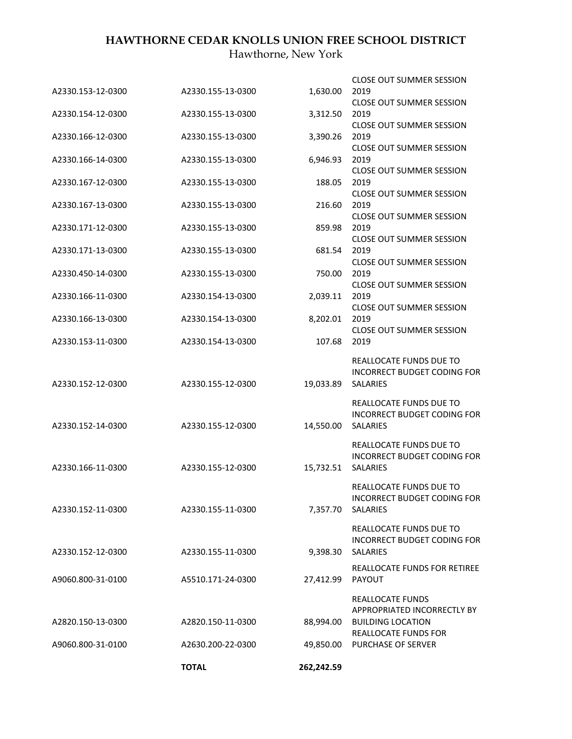# **HAWTHORNE CEDAR KNOLLS UNION FREE SCHOOL DISTRICT**

Hawthorne, New York

|                                        | <b>TOTAL</b>                           | 262,242.59       |                                                                                                     |
|----------------------------------------|----------------------------------------|------------------|-----------------------------------------------------------------------------------------------------|
| A9060.800-31-0100                      | A2630.200-22-0300                      | 49,850.00        | <b>PURCHASE OF SERVER</b>                                                                           |
| A2820.150-13-0300                      | A2820.150-11-0300                      | 88,994.00        | REALLOCATE FUNDS<br>APPROPRIATED INCORRECTLY BY<br><b>BUILDING LOCATION</b><br>REALLOCATE FUNDS FOR |
| A9060.800-31-0100                      | A5510.171-24-0300                      | 27,412.99        | REALLOCATE FUNDS FOR RETIREE<br><b>PAYOUT</b>                                                       |
| A2330.152-12-0300                      | A2330.155-11-0300                      | 9,398.30         | REALLOCATE FUNDS DUE TO<br>INCORRECT BUDGET CODING FOR<br><b>SALARIES</b>                           |
| A2330.152-11-0300                      | A2330.155-11-0300                      | 7,357.70         | REALLOCATE FUNDS DUE TO<br>INCORRECT BUDGET CODING FOR<br>SALARIES                                  |
| A2330.166-11-0300                      | A2330.155-12-0300                      | 15,732.51        | REALLOCATE FUNDS DUE TO<br>INCORRECT BUDGET CODING FOR<br>SALARIES                                  |
| A2330.152-14-0300                      | A2330.155-12-0300                      | 14,550.00        | REALLOCATE FUNDS DUE TO<br>INCORRECT BUDGET CODING FOR<br><b>SALARIES</b>                           |
| A2330.152-12-0300                      | A2330.155-12-0300                      | 19,033.89        | REALLOCATE FUNDS DUE TO<br>INCORRECT BUDGET CODING FOR<br><b>SALARIES</b>                           |
| A2330.153-11-0300                      | A2330.154-13-0300                      | 107.68           | <b>CLOSE OUT SUMMER SESSION</b><br>2019                                                             |
| A2330.166-13-0300                      | A2330.154-13-0300                      | 8,202.01         | <b>CLOSE OUT SUMMER SESSION</b><br>2019                                                             |
| A2330.166-11-0300                      | A2330.154-13-0300                      | 2,039.11         | <b>CLOSE OUT SUMMER SESSION</b><br>2019                                                             |
| A2330.171-13-0300<br>A2330.450-14-0300 | A2330.155-13-0300<br>A2330.155-13-0300 | 681.54<br>750.00 | <b>CLOSE OUT SUMMER SESSION</b><br>2019                                                             |
| A2330.171-12-0300                      | A2330.155-13-0300                      | 859.98           | 2019<br><b>CLOSE OUT SUMMER SESSION</b><br>2019                                                     |
| A2330.167-13-0300                      | A2330.155-13-0300                      | 216.60           | 2019<br><b>CLOSE OUT SUMMER SESSION</b>                                                             |
|                                        |                                        |                  | <b>CLOSE OUT SUMMER SESSION</b>                                                                     |
| A2330.167-12-0300                      | A2330.155-13-0300                      | 188.05           | <b>CLOSE OUT SUMMER SESSION</b><br>2019                                                             |
| A2330.166-14-0300                      | A2330.155-13-0300                      | 6,946.93         | <b>CLOSE OUT SUMMER SESSION</b><br>2019                                                             |
| A2330.166-12-0300                      | A2330.155-13-0300                      | 3,390.26         | <b>CLOSE OUT SUMMER SESSION</b><br>2019                                                             |
| A2330.154-12-0300                      | A2330.155-13-0300                      | 3,312.50         | <b>CLOSE OUT SUMMER SESSION</b><br>2019                                                             |
| A2330.153-12-0300                      | A2330.155-13-0300                      | 1,630.00         | <b>CLOSE OUT SUMMER SESSION</b><br>2019                                                             |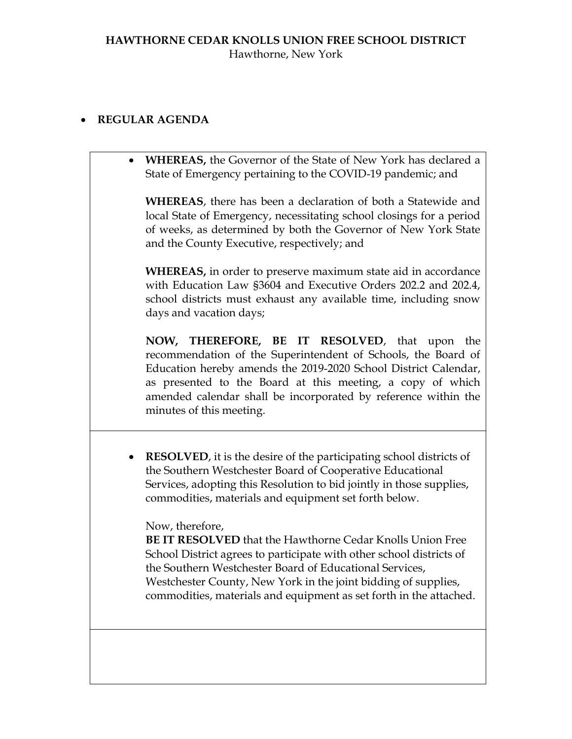# **REGULAR AGENDA**

 **WHEREAS,** the Governor of the State of New York has declared a State of Emergency pertaining to the COVID-19 pandemic; and

**WHEREAS**, there has been a declaration of both a Statewide and local State of Emergency, necessitating school closings for a period of weeks, as determined by both the Governor of New York State and the County Executive, respectively; and

**WHEREAS,** in order to preserve maximum state aid in accordance with Education Law §3604 and Executive Orders 202.2 and 202.4, school districts must exhaust any available time, including snow days and vacation days;

**NOW, THEREFORE, BE IT RESOLVED**, that upon the recommendation of the Superintendent of Schools, the Board of Education hereby amends the 2019-2020 School District Calendar, as presented to the Board at this meeting, a copy of which amended calendar shall be incorporated by reference within the minutes of this meeting.

 **RESOLVED**, it is the desire of the participating school districts of the Southern Westchester Board of Cooperative Educational Services, adopting this Resolution to bid jointly in those supplies, commodities, materials and equipment set forth below.

## Now, therefore,

**BE IT RESOLVED** that the Hawthorne Cedar Knolls Union Free School District agrees to participate with other school districts of the Southern Westchester Board of Educational Services, Westchester County, New York in the joint bidding of supplies, commodities, materials and equipment as set forth in the attached.